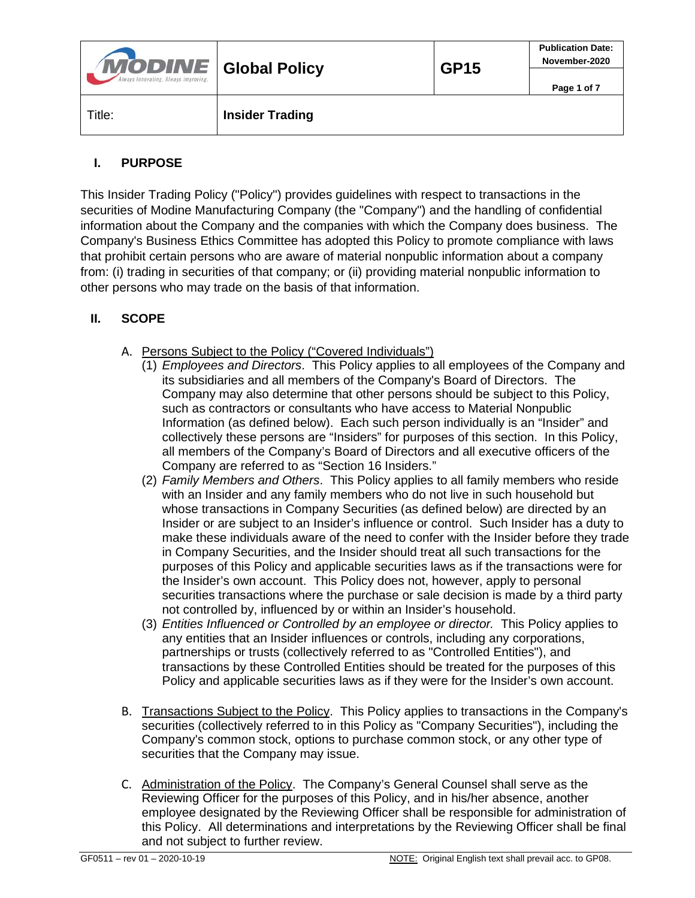| <b>MODINE</b> Global Policy<br>Always Innovating, Always Improving, |                        | <b>GP15</b> | <b>Publication Date:</b><br>November-2020 |
|---------------------------------------------------------------------|------------------------|-------------|-------------------------------------------|
|                                                                     |                        |             | Page 1 of 7                               |
| Title:                                                              | <b>Insider Trading</b> |             |                                           |

## **I. PURPOSE**

This Insider Trading Policy ("Policy") provides guidelines with respect to transactions in the securities of Modine Manufacturing Company (the "Company") and the handling of confidential information about the Company and the companies with which the Company does business. The Company's Business Ethics Committee has adopted this Policy to promote compliance with laws that prohibit certain persons who are aware of material nonpublic information about a company from: (i) trading in securities of that company; or (ii) providing material nonpublic information to other persons who may trade on the basis of that information.

# **II. SCOPE**

- A. Persons Subject to the Policy ("Covered Individuals")
	- (1) *Employees and Directors*. This Policy applies to all employees of the Company and its subsidiaries and all members of the Company's Board of Directors. The Company may also determine that other persons should be subject to this Policy, such as contractors or consultants who have access to Material Nonpublic Information (as defined below). Each such person individually is an "Insider" and collectively these persons are "Insiders" for purposes of this section. In this Policy, all members of the Company's Board of Directors and all executive officers of the Company are referred to as "Section 16 Insiders."
	- (2) *Family Members and Others*.This Policy applies to all family members who reside with an Insider and any family members who do not live in such household but whose transactions in Company Securities (as defined below) are directed by an Insider or are subject to an Insider's influence or control. Such Insider has a duty to make these individuals aware of the need to confer with the Insider before they trade in Company Securities, and the Insider should treat all such transactions for the purposes of this Policy and applicable securities laws as if the transactions were for the Insider's own account. This Policy does not, however, apply to personal securities transactions where the purchase or sale decision is made by a third party not controlled by, influenced by or within an Insider's household.
	- (3) *Entities Influenced or Controlled by an employee or director.* This Policy applies to any entities that an Insider influences or controls, including any corporations, partnerships or trusts (collectively referred to as "Controlled Entities"), and transactions by these Controlled Entities should be treated for the purposes of this Policy and applicable securities laws as if they were for the Insider's own account.
- B. Transactions Subject to the Policy. This Policy applies to transactions in the Company's securities (collectively referred to in this Policy as "Company Securities"), including the Company's common stock, options to purchase common stock, or any other type of securities that the Company may issue.
- C. Administration of the Policy. The Company's General Counsel shall serve as the Reviewing Officer for the purposes of this Policy, and in his/her absence, another employee designated by the Reviewing Officer shall be responsible for administration of this Policy. All determinations and interpretations by the Reviewing Officer shall be final and not subject to further review.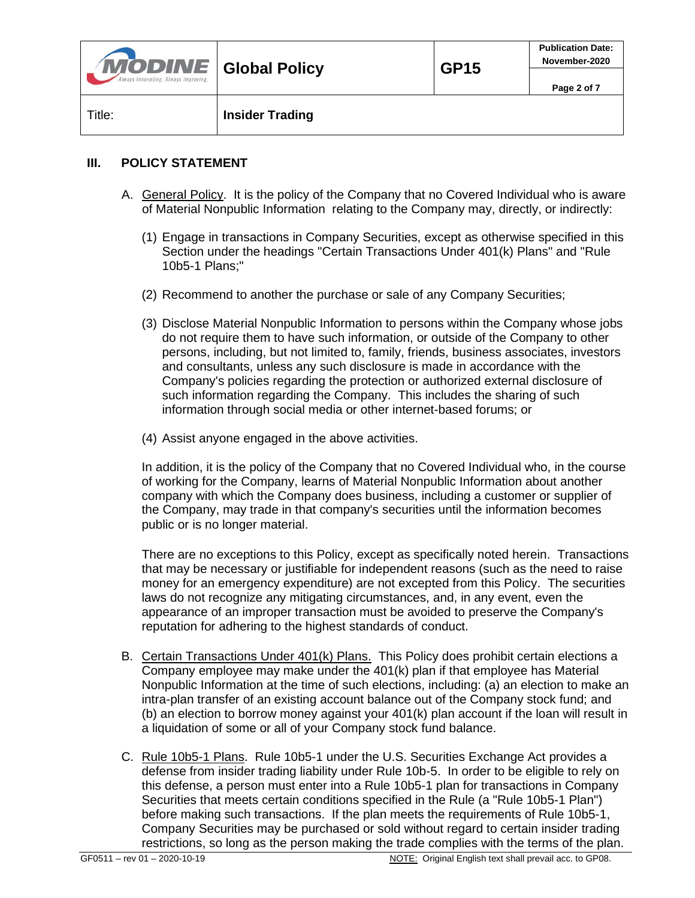| <b>MODINE</b> Global Policy<br>Always Innovating, Always Improving, |                        | <b>GP15</b> | <b>Publication Date:</b><br>November-2020 |
|---------------------------------------------------------------------|------------------------|-------------|-------------------------------------------|
|                                                                     |                        |             | Page 2 of 7                               |
| Title:                                                              | <b>Insider Trading</b> |             |                                           |

#### **III. POLICY STATEMENT**

- A. General Policy. It is the policy of the Company that no Covered Individual who is aware of Material Nonpublic Information relating to the Company may, directly, or indirectly:
	- (1) Engage in transactions in Company Securities, except as otherwise specified in this Section under the headings "Certain Transactions Under 401(k) Plans" and "Rule 10b5-1 Plans;"
	- (2) Recommend to another the purchase or sale of any Company Securities;
	- (3) Disclose Material Nonpublic Information to persons within the Company whose jobs do not require them to have such information, or outside of the Company to other persons, including, but not limited to, family, friends, business associates, investors and consultants, unless any such disclosure is made in accordance with the Company's policies regarding the protection or authorized external disclosure of such information regarding the Company. This includes the sharing of such information through social media or other internet-based forums; or
	- (4) Assist anyone engaged in the above activities.

In addition, it is the policy of the Company that no Covered Individual who, in the course of working for the Company, learns of Material Nonpublic Information about another company with which the Company does business, including a customer or supplier of the Company, may trade in that company's securities until the information becomes public or is no longer material.

There are no exceptions to this Policy, except as specifically noted herein. Transactions that may be necessary or justifiable for independent reasons (such as the need to raise money for an emergency expenditure) are not excepted from this Policy. The securities laws do not recognize any mitigating circumstances, and, in any event, even the appearance of an improper transaction must be avoided to preserve the Company's reputation for adhering to the highest standards of conduct.

- B. Certain Transactions Under 401(k) Plans. This Policy does prohibit certain elections a Company employee may make under the 401(k) plan if that employee has Material Nonpublic Information at the time of such elections, including: (a) an election to make an intra-plan transfer of an existing account balance out of the Company stock fund; and (b) an election to borrow money against your 401(k) plan account if the loan will result in a liquidation of some or all of your Company stock fund balance.
- C. Rule 10b5-1 Plans. Rule 10b5-1 under the U.S. Securities Exchange Act provides a defense from insider trading liability under Rule 10b-5. In order to be eligible to rely on this defense, a person must enter into a Rule 10b5-1 plan for transactions in Company Securities that meets certain conditions specified in the Rule (a "Rule 10b5-1 Plan") before making such transactions. If the plan meets the requirements of Rule 10b5-1, Company Securities may be purchased or sold without regard to certain insider trading restrictions, so long as the person making the trade complies with the terms of the plan.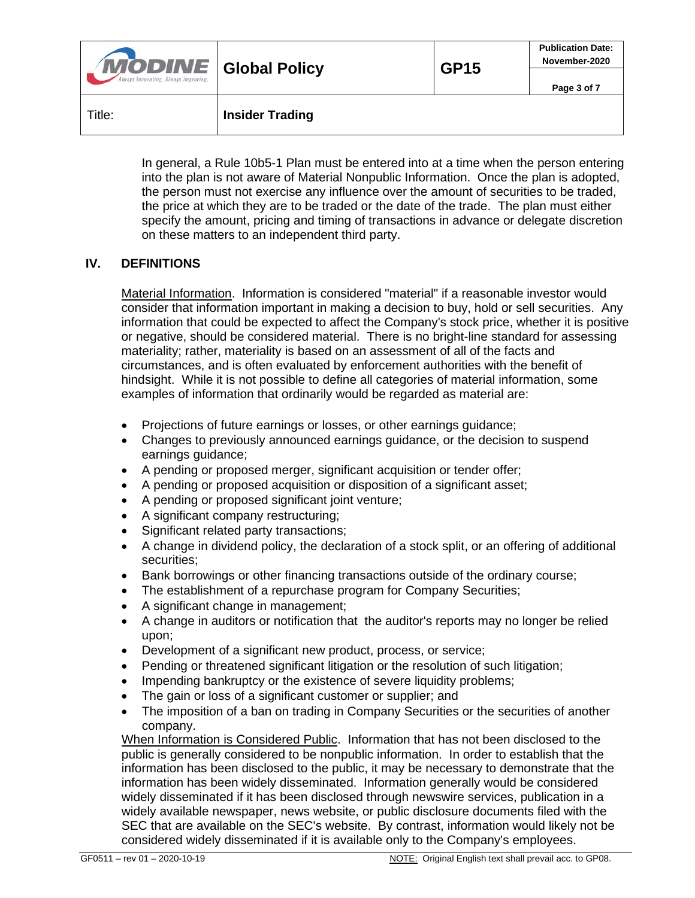| <b>MODINE</b> Global Policy<br>Always Innovating, Always Improving, |                        | <b>GP15</b> | <b>Publication Date:</b><br>November-2020 |
|---------------------------------------------------------------------|------------------------|-------------|-------------------------------------------|
|                                                                     |                        |             | Page 3 of 7                               |
| Title:                                                              | <b>Insider Trading</b> |             |                                           |

In general, a Rule 10b5-1 Plan must be entered into at a time when the person entering into the plan is not aware of Material Nonpublic Information. Once the plan is adopted, the person must not exercise any influence over the amount of securities to be traded, the price at which they are to be traded or the date of the trade. The plan must either specify the amount, pricing and timing of transactions in advance or delegate discretion on these matters to an independent third party.

#### **IV. DEFINITIONS**

Material Information. Information is considered "material" if a reasonable investor would consider that information important in making a decision to buy, hold or sell securities. Any information that could be expected to affect the Company's stock price, whether it is positive or negative, should be considered material. There is no bright-line standard for assessing materiality; rather, materiality is based on an assessment of all of the facts and circumstances, and is often evaluated by enforcement authorities with the benefit of hindsight. While it is not possible to define all categories of material information, some examples of information that ordinarily would be regarded as material are:

- Projections of future earnings or losses, or other earnings guidance;
- Changes to previously announced earnings guidance, or the decision to suspend earnings guidance;
- A pending or proposed merger, significant acquisition or tender offer;
- A pending or proposed acquisition or disposition of a significant asset;
- A pending or proposed significant joint venture;
- A significant company restructuring;
- Significant related party transactions;
- A change in dividend policy, the declaration of a stock split, or an offering of additional securities;
- Bank borrowings or other financing transactions outside of the ordinary course;
- The establishment of a repurchase program for Company Securities;
- A significant change in management;
- A change in auditors or notification that the auditor's reports may no longer be relied upon;
- Development of a significant new product, process, or service;
- Pending or threatened significant litigation or the resolution of such litigation;
- Impending bankruptcy or the existence of severe liquidity problems;
- The gain or loss of a significant customer or supplier; and
- The imposition of a ban on trading in Company Securities or the securities of another company.

When Information is Considered Public. Information that has not been disclosed to the public is generally considered to be nonpublic information. In order to establish that the information has been disclosed to the public, it may be necessary to demonstrate that the information has been widely disseminated. Information generally would be considered widely disseminated if it has been disclosed through newswire services, publication in a widely available newspaper, news website, or public disclosure documents filed with the SEC that are available on the SEC's website. By contrast, information would likely not be considered widely disseminated if it is available only to the Company's employees.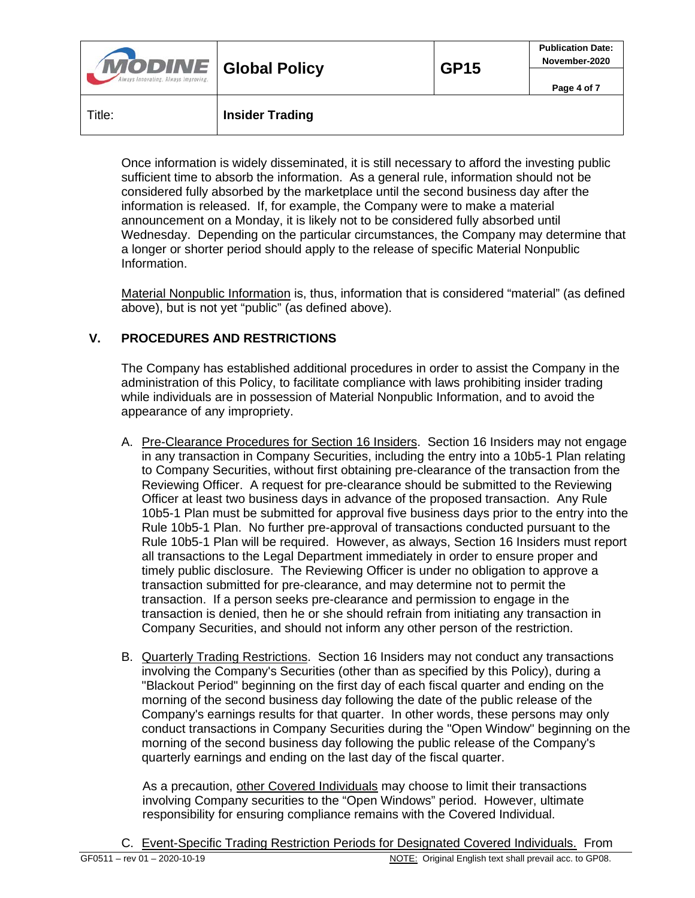| <b>MODINE</b> Global Policy<br>Always Innovating, Always Improving, |                        | <b>GP15</b> | <b>Publication Date:</b><br>November-2020 |
|---------------------------------------------------------------------|------------------------|-------------|-------------------------------------------|
|                                                                     |                        |             | Page 4 of 7                               |
| Title:                                                              | <b>Insider Trading</b> |             |                                           |

Once information is widely disseminated, it is still necessary to afford the investing public sufficient time to absorb the information. As a general rule, information should not be considered fully absorbed by the marketplace until the second business day after the information is released. If, for example, the Company were to make a material announcement on a Monday, it is likely not to be considered fully absorbed until Wednesday. Depending on the particular circumstances, the Company may determine that a longer or shorter period should apply to the release of specific Material Nonpublic Information.

Material Nonpublic Information is, thus, information that is considered "material" (as defined above), but is not yet "public" (as defined above).

### **V. PROCEDURES AND RESTRICTIONS**

The Company has established additional procedures in order to assist the Company in the administration of this Policy, to facilitate compliance with laws prohibiting insider trading while individuals are in possession of Material Nonpublic Information, and to avoid the appearance of any impropriety.

- A. Pre-Clearance Procedures for Section 16 Insiders. Section 16 Insiders may not engage in any transaction in Company Securities, including the entry into a 10b5-1 Plan relating to Company Securities, without first obtaining pre-clearance of the transaction from the Reviewing Officer. A request for pre-clearance should be submitted to the Reviewing Officer at least two business days in advance of the proposed transaction. Any Rule 10b5-1 Plan must be submitted for approval five business days prior to the entry into the Rule 10b5-1 Plan. No further pre-approval of transactions conducted pursuant to the Rule 10b5-1 Plan will be required. However, as always, Section 16 Insiders must report all transactions to the Legal Department immediately in order to ensure proper and timely public disclosure. The Reviewing Officer is under no obligation to approve a transaction submitted for pre-clearance, and may determine not to permit the transaction. If a person seeks pre-clearance and permission to engage in the transaction is denied, then he or she should refrain from initiating any transaction in Company Securities, and should not inform any other person of the restriction.
- B. Quarterly Trading Restrictions. Section 16 Insiders may not conduct any transactions involving the Company's Securities (other than as specified by this Policy), during a "Blackout Period" beginning on the first day of each fiscal quarter and ending on the morning of the second business day following the date of the public release of the Company's earnings results for that quarter. In other words, these persons may only conduct transactions in Company Securities during the "Open Window" beginning on the morning of the second business day following the public release of the Company's quarterly earnings and ending on the last day of the fiscal quarter.

As a precaution, other Covered Individuals may choose to limit their transactions involving Company securities to the "Open Windows" period. However, ultimate responsibility for ensuring compliance remains with the Covered Individual.

C. Event-Specific Trading Restriction Periods for Designated Covered Individuals. From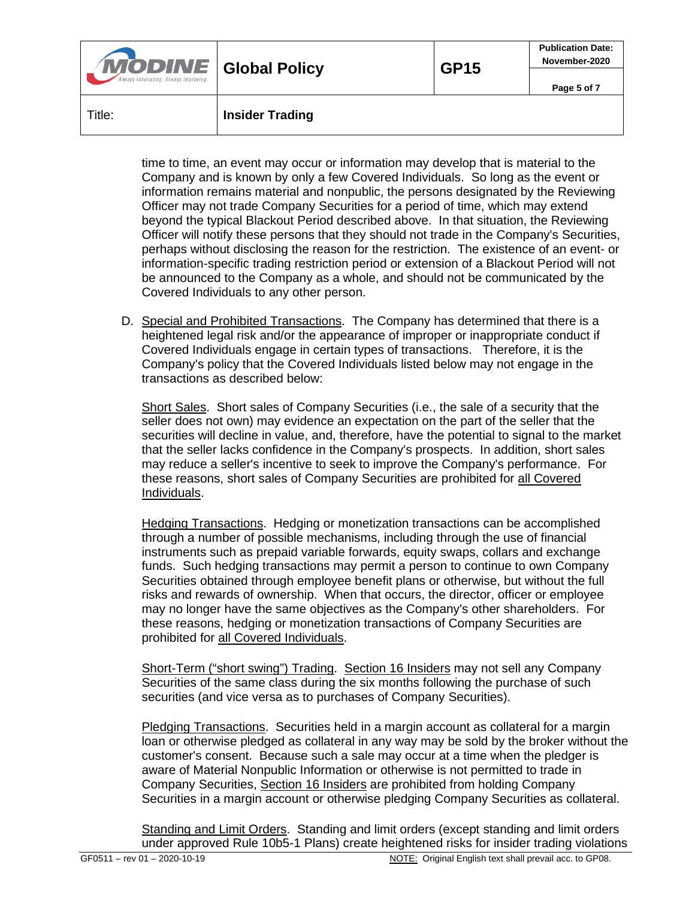| <b>MODINE</b> Global Policy<br>Always Innovating, Always Improving, |                        | <b>GP15</b> | <b>Publication Date:</b><br>November-2020 |
|---------------------------------------------------------------------|------------------------|-------------|-------------------------------------------|
|                                                                     |                        |             | Page 5 of 7                               |
| Title:                                                              | <b>Insider Trading</b> |             |                                           |

time to time, an event may occur or information may develop that is material to the Company and is known by only a few Covered Individuals. So long as the event or information remains material and nonpublic, the persons designated by the Reviewing Officer may not trade Company Securities for a period of time, which may extend beyond the typical Blackout Period described above. In that situation, the Reviewing Officer will notify these persons that they should not trade in the Company's Securities, perhaps without disclosing the reason for the restriction. The existence of an event- or information-specific trading restriction period or extension of a Blackout Period will not be announced to the Company as a whole, and should not be communicated by the Covered Individuals to any other person.

D. Special and Prohibited Transactions. The Company has determined that there is a heightened legal risk and/or the appearance of improper or inappropriate conduct if Covered Individuals engage in certain types of transactions. Therefore, it is the Company's policy that the Covered Individuals listed below may not engage in the transactions as described below:

Short Sales. Short sales of Company Securities (i.e., the sale of a security that the seller does not own) may evidence an expectation on the part of the seller that the securities will decline in value, and, therefore, have the potential to signal to the market that the seller lacks confidence in the Company's prospects. In addition, short sales may reduce a seller's incentive to seek to improve the Company's performance. For these reasons, short sales of Company Securities are prohibited for all Covered Individuals.

Hedging Transactions. Hedging or monetization transactions can be accomplished through a number of possible mechanisms, including through the use of financial instruments such as prepaid variable forwards, equity swaps, collars and exchange funds. Such hedging transactions may permit a person to continue to own Company Securities obtained through employee benefit plans or otherwise, but without the full risks and rewards of ownership. When that occurs, the director, officer or employee may no longer have the same objectives as the Company's other shareholders. For these reasons, hedging or monetization transactions of Company Securities are prohibited for all Covered Individuals.

Short-Term ("short swing") Trading. Section 16 Insiders may not sell any Company Securities of the same class during the six months following the purchase of such securities (and vice versa as to purchases of Company Securities).

Pledging Transactions. Securities held in a margin account as collateral for a margin loan or otherwise pledged as collateral in any way may be sold by the broker without the customer's consent. Because such a sale may occur at a time when the pledger is aware of Material Nonpublic Information or otherwise is not permitted to trade in Company Securities, Section 16 Insiders are prohibited from holding Company Securities in a margin account or otherwise pledging Company Securities as collateral.

Standing and Limit Orders. Standing and limit orders (except standing and limit orders under approved Rule 10b5-1 Plans) create heightened risks for insider trading violations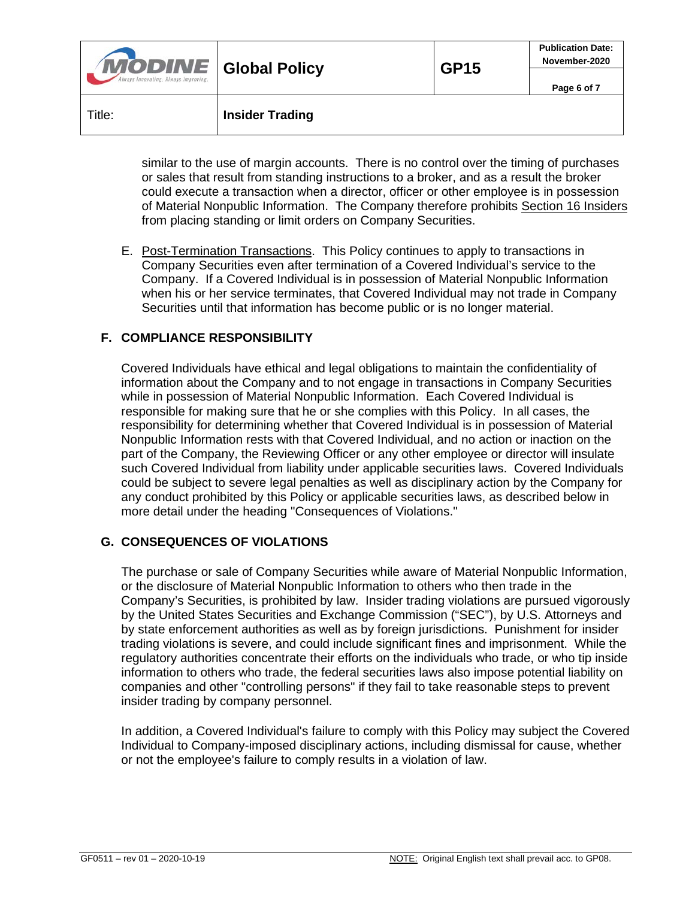| <b>MODINE</b> Global Policy<br>Always Innovating, Always Improving, |                        | <b>GP15</b> | <b>Publication Date:</b><br>November-2020 |
|---------------------------------------------------------------------|------------------------|-------------|-------------------------------------------|
|                                                                     |                        |             | Page 6 of 7                               |
| Title:                                                              | <b>Insider Trading</b> |             |                                           |

similar to the use of margin accounts. There is no control over the timing of purchases or sales that result from standing instructions to a broker, and as a result the broker could execute a transaction when a director, officer or other employee is in possession of Material Nonpublic Information. The Company therefore prohibits Section 16 Insiders from placing standing or limit orders on Company Securities.

E. Post-Termination Transactions. This Policy continues to apply to transactions in Company Securities even after termination of a Covered Individual's service to the Company. If a Covered Individual is in possession of Material Nonpublic Information when his or her service terminates, that Covered Individual may not trade in Company Securities until that information has become public or is no longer material.

### **F. COMPLIANCE RESPONSIBILITY**

Covered Individuals have ethical and legal obligations to maintain the confidentiality of information about the Company and to not engage in transactions in Company Securities while in possession of Material Nonpublic Information. Each Covered Individual is responsible for making sure that he or she complies with this Policy. In all cases, the responsibility for determining whether that Covered Individual is in possession of Material Nonpublic Information rests with that Covered Individual, and no action or inaction on the part of the Company, the Reviewing Officer or any other employee or director will insulate such Covered Individual from liability under applicable securities laws. Covered Individuals could be subject to severe legal penalties as well as disciplinary action by the Company for any conduct prohibited by this Policy or applicable securities laws, as described below in more detail under the heading "Consequences of Violations."

#### **G. CONSEQUENCES OF VIOLATIONS**

The purchase or sale of Company Securities while aware of Material Nonpublic Information, or the disclosure of Material Nonpublic Information to others who then trade in the Company's Securities, is prohibited by law. Insider trading violations are pursued vigorously by the United States Securities and Exchange Commission ("SEC"), by U.S. Attorneys and by state enforcement authorities as well as by foreign jurisdictions. Punishment for insider trading violations is severe, and could include significant fines and imprisonment. While the regulatory authorities concentrate their efforts on the individuals who trade, or who tip inside information to others who trade, the federal securities laws also impose potential liability on companies and other "controlling persons" if they fail to take reasonable steps to prevent insider trading by company personnel.

In addition, a Covered Individual's failure to comply with this Policy may subject the Covered Individual to Company-imposed disciplinary actions, including dismissal for cause, whether or not the employee's failure to comply results in a violation of law.